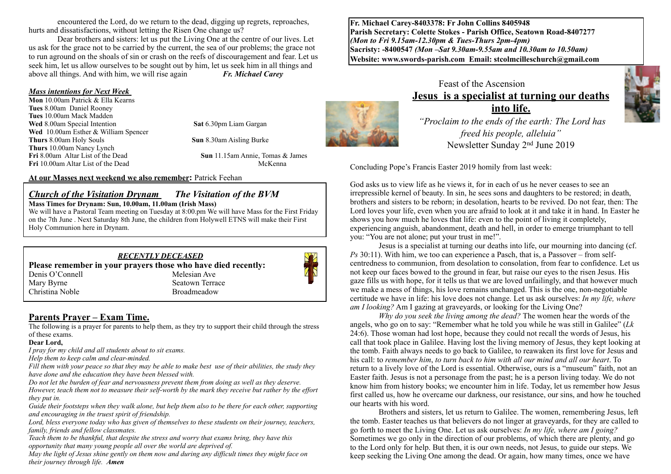encountered the Lord, do we return to the dead, digging up regrets, reproaches, hurts and dissatisfactions, without letting the Risen One change us?

Dear brothers and sisters: let us put the Living One at the centre of our lives. Let us ask for the grace not to be carried by the current, the sea of our problems; the grace not to run aground on the shoals of sin or crash on the reefs of discouragement and fear. Let us seek him, let us allow ourselves to be sought out by him, let us seek him in all things and above all things. And with him, we will rise again *Fr. Michael Carey*

#### *Mass intentions for Next Week*

**Mon** 10.00am Patrick & Ella Kearns **Tues** 8.00am Daniel Rooney **Tues** 10.00am Mack Madden **Wed** 8.00am Special Intention **Sat** 6.30pm Liam Gargan Wed 10.00am Esther & William Spencer<br>Thurs 8.00am Holy Souls **Thurs** 10.00am Nancy Lynch **Fri** 10.00am Altar List of the DeadMcKenna

**Sun** 8.30am Aisling Burke

**Sun** 11.15am Annie, Tomas & James

#### **At our Masses next weekend we also remember:** Patrick Feehan

#### *Church of the Visitation Drynam**The Visitation of the BVM* **Mass Times for Drynam: Sun, 10.00am, 11.00am (Irish Mass)**

*RECENTLY DECEASED*

**Please remember in your prayers those who have died recently:**

Denis O'Connell Melesian Ave Mary Byrne<br>
Mary Byrne Seatown Terra

Christina Noble Broadmeadow

We will have a Pastoral Team meeting on Tuesday at 8:00.pm We will have Mass for the First Friday on the 7th June . Next Saturday 8th June, the children from Holywell ETNS will make their First Holy Communion here in Drynam.

## **Parents Prayer – Exam Time.**

The following is a prayer for parents to help them, as they try to support their child through the stress of these exams.

Seatown Terrace

#### **Dear Lord,**

*I pray for my child and all students about to sit exams.*

*Help them to keep calm and clear-minded.*

*Fill them with your peace so that they may be able to make best use of their abilities, the study they have done and the education they have been blessed with.*

*Do not let the burden of fear and nervousness prevent them from doing as well as they deserve. However, teach them not to measure their self-worth by the mark they receive but rather by the effort they put in.*

*Guide their footsteps when they walk alone, but help them also to be there for each other, supporting and encouraging in the truest spirit of friendship.*

*Lord, bless everyone today who has given of themselves to these students on their journey, teachers, family, friends and fellow classmates.*

*Teach them to be thankful, that despite the stress and worry that exams bring, they have this opportunity that many young people all over the world are deprived of.* 

*May the light of Jesus shine gently on them now and during any difficult times they might face on their journey through life. Amen*

**Fr. Michael Carey-8403378: Fr John Collins 8405948 Parish Secretary: Colette Stokes - Parish Office, Seatown Road-8407277**  *(Mon to Fri 9.15am-12.30pm & Tues-Thurs 2pm-4pm)*  **Sacristy: -8400547** *(Mon –Sat 9.30am-9.55am and 10.30am to 10.50am)* **Website: [www.swords-parish.com Email:](http://www.swords-parish.com%20%20email) stcolmcilleschurch@gmail.com**

## Feast of the Ascension **Jesus is a specialist at turning our deaths into life.**

 *"Proclaim to the ends of the earth: The Lord has freed his people, alleluia"*  Newsletter Sunday 2nd June 2019

Concluding Pope's Francis Easter 2019 homily from last week:

God asks us to view life as he views it, for in each of us he never ceases to see an irrepressible kernel of beauty. In sin, he sees sons and daughters to be restored; in death, brothers and sisters to be reborn; in desolation, hearts to be revived. Do not fear, then: The Lord loves your life, even when you are afraid to look at it and take it in hand. In Easter he shows you how much he loves that life: even to the point of living it completely, experiencing anguish, abandonment, death and hell, in order to emerge triumphant to tell you: "You are not alone; put your trust in me!".

Jesus is a specialist at turning our deaths into life, our mourning into dancing (cf. *Ps* 30:11). With him, we too can experience a Pasch, that is, a Passover – from selfcentredness to communion, from desolation to consolation, from fear to confidence. Let us not keep our faces bowed to the ground in fear, but raise our eyes to the risen Jesus. His gaze fills us with hope, for it tells us that we are loved unfailingly, and that however much we make a mess of things, his love remains unchanged. This is the one, non-negotiable certitude we have in life: his love does not change. Let us ask ourselves: *In my life, where am I looking?* Am I gazing at graveyards, or looking for the Living One?

*Why do you seek the living among the dead?* The women hear the words of the angels, who go on to say: "Remember what he told you while he was still in Galilee" (*Lk*  24:6). Those woman had lost hope, because they could not recall the words of Jesus, his call that took place in Galilee. Having lost the living memory of Jesus, they kept looking at the tomb. Faith always needs to go back to Galilee, to reawaken its first love for Jesus and his call: to *remember him*, *to turn back to him with all our mind and all our heart*. To return to a lively love of the Lord is essential. Otherwise, ours is a "museum" faith, not an Easter faith. Jesus is not a personage from the past; he is a person living today. We do not know him from history books; we encounter him in life. Today, let us remember how Jesus first called us, how he overcame our darkness, our resistance, our sins, and how he touched our hearts with his word.

Brothers and sisters, let us return to Galilee. The women, remembering Jesus, left the tomb. Easter teaches us that believers do not linger at graveyards, for they are called to go forth to meet the Living One. Let us ask ourselves: *In my life, where am I going?* Sometimes we go only in the direction of our problems, of which there are plenty, and go to the Lord only for help. But then, it is our own needs, not Jesus, to guide our steps. We keep seeking the Living One among the dead. Or again, how many times, once we have